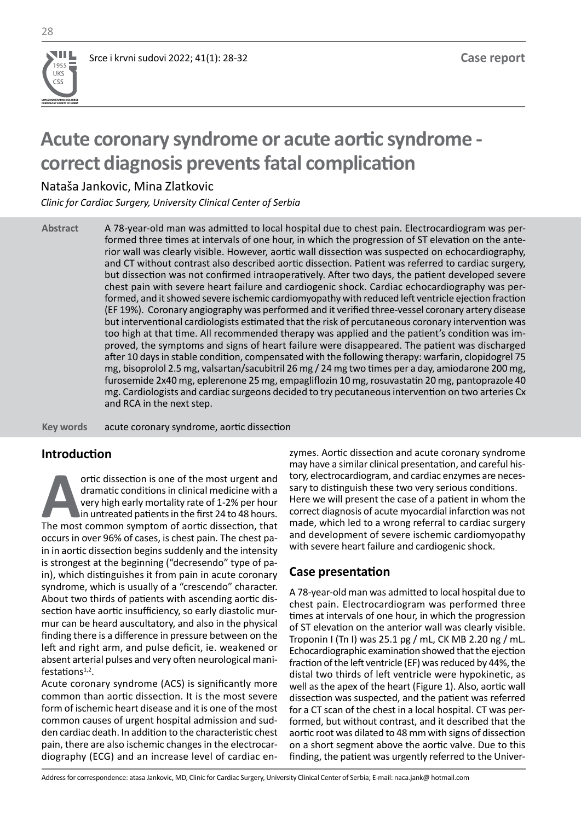**UDRUŽENJE KARDIOLOGA SRBIJE CARDIOLOGY SOCIETY OF SERBIA**

**UKS** CSS

# **Acute coronary syndrome or acute aortic syndrome correct diagnosis prevents fatal complication**

Nataša Jankovic, Mina Zlatkovic

*Clinic for Cardiac Surgery, University Clinical Center of Serbia*

A 78-year-old man was admitted to local hospital due to chest pain. Electrocardiogram was performed three times at intervals of one hour, in which the progression of ST elevation on the anterior wall was clearly visible. However, aortic wall dissection was suspected on echocardiography, and CT without contrast also described aortic dissection. Patient was referred to cardiac surgery, but dissection was not confirmed intraoperatively. After two days, the patient developed severe chest pain with severe heart failure and cardiogenic shock. Cardiac echocardiography was performed, and it showed severe ischemic cardiomyopathy with reduced left ventricle ejection fraction (EF 19%). Coronary angiography was performed and it verified three-vessel coronary artery disease but interventional cardiologists estimated that the risk of percutaneous coronary intervention was too high at that time. All recommended therapy was applied and the patient's condition was improved, the symptoms and signs of heart failure were disappeared. The patient was discharged after 10 days in stable condition, compensated with the following therapy: warfarin, clopidogrel 75 mg, bisoprolol 2.5 mg, valsartan/sacubitril 26 mg / 24 mg two times per a day, amiodarone 200 mg, furosemide 2x40 mg, eplerenone 25 mg, empagliflozin 10 mg, rosuvastatin 20 mg, pantoprazole 40 mg. Cardiologists and cardiac surgeons decided to try pecutaneous intervention on two arteries Cx and RCA in the next step. **Abstract**

acute coronary syndrome, aortic dissection **Key words** 

## **Introduction**

**A**ortic dissection is one of the most urgent and dramatic conditions in clinical medicine with a very high early mortality rate of 1-2% per hour in untreated patients in the first 24 to 48 hours.<br>The most common symptom o dramatic conditions in clinical medicine with a very high early mortality rate of 1-2% per hour in untreated patients in the first 24 to 48 hours. occurs in over 96% of cases, is chest pain. The chest pain in aortic dissection begins suddenly and the intensity is strongest at the beginning ("decresendo" type of pain), which distinguishes it from pain in acute coronary syndrome, which is usually of a "crescendo" character. About two thirds of patients with ascending aortic dissection have aortic insufficiency, so early diastolic murmur can be heard auscultatory, and also in the physical finding there is a difference in pressure between on the left and right arm, and pulse deficit, ie. weakened or absent arterial pulses and very often neurological manifestations $1,2$ .

Acute coronary syndrome (ACS) is significantly more common than aortic dissection. It is the most severe form of ischemic heart disease and it is one of the most common causes of urgent hospital admission and sudden cardiac death. In addition to the characteristic chest pain, there are also ischemic changes in the electrocardiography (ECG) and an increase level of cardiac enzymes. Aortic dissection and acute coronary syndrome may have a similar clinical presentation, and careful history, electrocardiogram, and cardiac enzymes are necessary to distinguish these two very serious conditions. Here we will present the case of a patient in whom the correct diagnosis of acute myocardial infarction was not made, which led to a wrong referral to cardiac surgery and development of severe ischemic cardiomyopathy with severe heart failure and cardiogenic shock.

### **Case presentation**

A 78-year-old man was admitted to local hospital due to chest pain. Electrocardiogram was performed three times at intervals of one hour, in which the progression of ST elevation on the anterior wall was clearly visible. Troponin I (Tn I) was 25.1 pg / mL, CK MB 2.20 ng / mL. Echocardiographic examination showed that the ejection fraction of the left ventricle (EF) was reduced by 44%, the distal two thirds of left ventricle were hypokinetic, as well as the apex of the heart (Figure 1). Also, aortic wall dissection was suspected, and the patient was referred for a CT scan of the chest in a local hospital. CT was performed, but without contrast, and it described that the aortic root was dilated to 48 mm with signs of dissection on a short segment above the aortic valve. Due to this finding, the patient was urgently referred to the Univer-

Address for correspondence: atasa Jankovic, MD, Clinic for Cardiac Surgery, University Clinical Center of Serbia; E-mail: naca.jank@ hotmail.com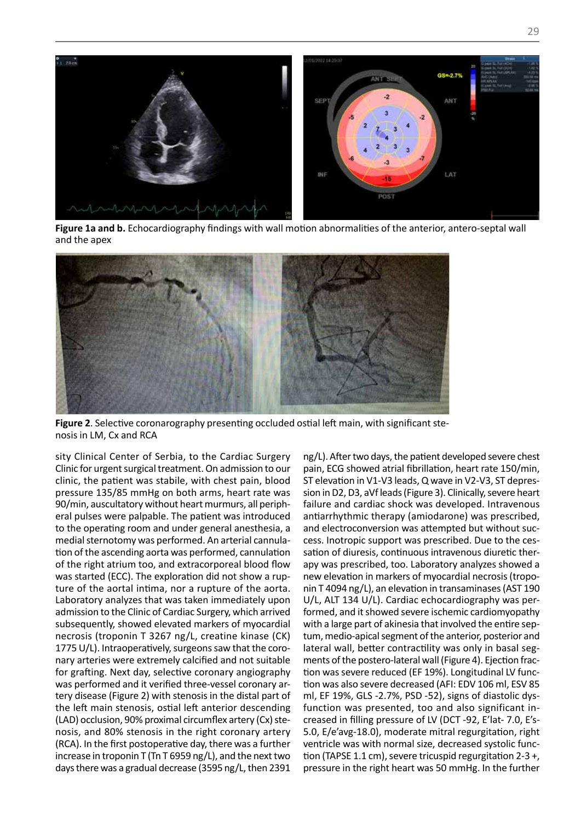

**Figure 1a and b.** Echocardiography findings with wall motion abnormalities of the anterior, antero-septal wall and the apex



**Figure 2**. Selective coronarography presenting occluded ostial left main, with significant stenosis in LM, Cx and RCA

sity Clinical Center of Serbia, to the Cardiac Surgery Clinic for urgent surgical treatment. On admission to our clinic, the patient was stabile, with chest pain, blood pressure 135/85 mmHg on both arms, heart rate was 90/min, auscultatory without heart murmurs, all peripheral pulses were palpable. The patient was introduced to the operating room and under general anesthesia, a medial sternotomy was performed. An arterial cannulation of the ascending aorta was performed, cannulation of the right atrium too, and extracorporeal blood flow was started (ECC). The exploration did not show a rupture of the aortal intima, nor a rupture of the aorta. Laboratory analyzes that was taken immediately upon admission to the Clinic of Cardiac Surgery, which arrived subsequently, showed elevated markers of myocardial necrosis (troponin T 3267 ng/L, creatine kinase (CK) 1775 U/L). Intraoperatively, surgeons saw that the coronary arteries were extremely calcified and not suitable for grafting. Next day, selective coronary angiography was performed and it verified three-vessel coronary artery disease (Figure 2) with stenosis in the distal part of the left main stenosis, ostial left anterior descending (LAD) occlusion, 90% proximal circumflex artery (Cx) stenosis, and 80% stenosis in the right coronary artery (RCA). In the first postoperative day, there was a further increase in troponin T (Tn T 6959 ng/L), and the next two days there was a gradual decrease (3595 ng/L, then 2391

ng/L). After two days, the patient developed severe chest pain, ECG showed atrial fibrillation, heart rate 150/min, ST elevation in V1-V3 leads, Q wave in V2-V3, ST depression in D2, D3, aVf leads (Figure 3). Clinically, severe heart failure and cardiac shock was developed. Intravenous antiarrhythmic therapy (amiodarone) was prescribed, and electroconversion was attempted but without success. Inotropic support was prescribed. Due to the cessation of diuresis, continuous intravenous diuretic therapy was prescribed, too. Laboratory analyzes showed a new elevation in markers of myocardial necrosis (troponin T 4094 ng/L), an elevation in transaminases (AST 190 U/L, ALT 134 U/L). Cardiac echocardiography was performed, and it showed severe ischemic cardiomyopathy with a large part of akinesia that involved the entire septum, medio-apical segment of the anterior, posterior and lateral wall, better contractility was only in basal segments of the postero-lateral wall (Figure 4). Ejection fraction was severe reduced (EF 19%). Longitudinal LV function was also severe decreased (AFI: EDV 106 ml, ESV 85 ml, EF 19%, GLS -2.7%, PSD -52), signs of diastolic dysfunction was presented, too and also significant increased in filling pressure of LV (DCT -92, E'lat- 7.0, E's-5.0, E/e'avg-18.0), moderate mitral regurgitation, right ventricle was with normal size, decreased systolic function (TAPSE 1.1 cm), severe tricuspid regurgitation 2-3 +, pressure in the right heart was 50 mmHg. In the further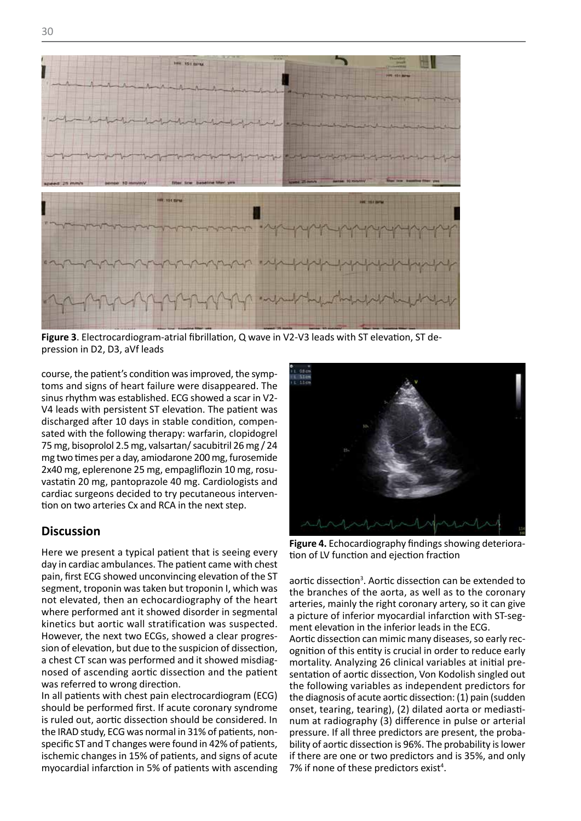

**Figure 3**. Electrocardiogram-atrial fibrillation, Q wave in V2-V3 leads with ST elevation, ST depression in D2, D3, aVf leads

course, the patient's condition was improved, the symp-**Figure 4. Economist Schultzer Was improved, the symphone of Ligares shows and signs of heart failure were disappeared. The** sinus rhythm was established. ECG showed a scar in V2- V4 leads with persistent ST elevation. The patient was discharged after 10 days in stable condition, compensated with the following therapy: warfarin, clopidogrel 75 mg, bisoprolol 2.5 mg, valsartan/ sacubitril 26 mg / 24 mg two times per a day, amiodarone 200 mg, furosemide 2x40 mg, eplerenone 25 mg, empagliflozin 10 mg, rosuvastatin 20 mg, pantoprazole 40 mg. Cardiologists and cardiac surgeons decided to try pecutaneous intervention on two arteries Cx and RCA in the next step.

#### **Discussion**

Here we present a typical patient that is seeing every day in cardiac ambulances. The patient came with chest pain, first ECG showed unconvincing elevation of the ST segment, troponin was taken but troponin I, which was not elevated, then an echocardiography of the heart where performed ant it showed disorder in segmental kinetics but aortic wall stratification was suspected. However, the next two ECGs, showed a clear progression of elevation, but due to the suspicion of dissection, a chest CT scan was performed and it showed misdiagnosed of ascending aortic dissection and the patient was referred to wrong direction.

In all patients with chest pain electrocardiogram (ECG) should be performed first. If acute coronary syndrome is ruled out, aortic dissection should be considered. In the IRAD study, ECG was normal in 31% of patients, nonspecific ST and T changes were found in 42% of patients, ischemic changes in 15% of patients, and signs of acute myocardial infarction in 5% of patients with ascending



**Figure 4.** Echocardiography findings showing deterioration of LV function and ejection fraction

aortic dissection<sup>3</sup>. Aortic dissection can be extended to the branches of the aorta, as well as to the coronary arteries, mainly the right coronary artery, so it can give a picture of inferior myocardial infarction with ST-segment elevation in the inferior leads in the ECG.

Aortic dissection can mimic many diseases, so early recognition of this entity is crucial in order to reduce early mortality. Analyzing 26 clinical variables at initial presentation of aortic dissection, Von Kodolish singled out the following variables as independent predictors for the diagnosis of acute aortic dissection: (1) pain (sudden onset, tearing, tearing), (2) dilated aorta or mediastinum at radiography (3) difference in pulse or arterial pressure. If all three predictors are present, the probability of aortic dissection is 96%. The probability is lower if there are one or two predictors and is 35%, and only 7% if none of these predictors exist<sup>4</sup>.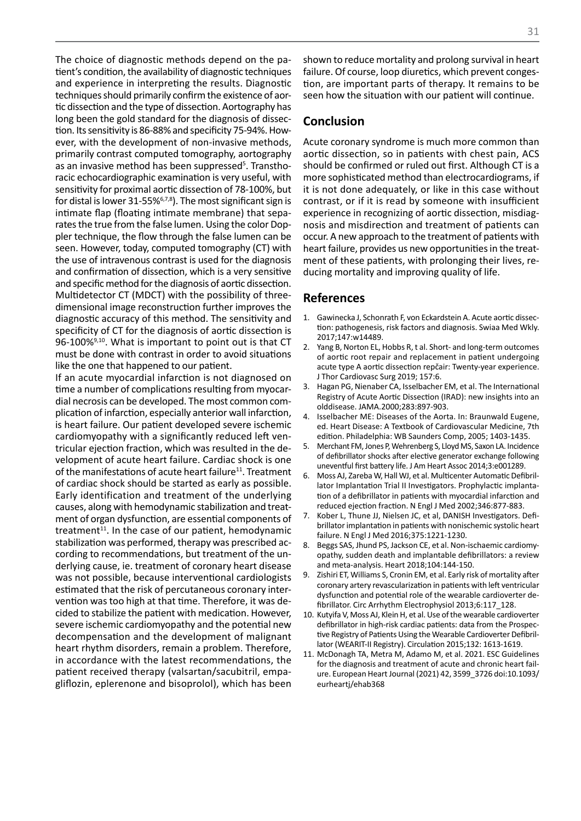The choice of diagnostic methods depend on the patient's condition, the availability of diagnostic techniques and experience in interpreting the results. Diagnostic techniques should primarily confirm the existence of aortic dissection and the type of dissection. Aortography has long been the gold standard for the diagnosis of dissection. Its sensitivity is 86-88% and specificity 75-94%. However, with the development of non-invasive methods, primarily contrast computed tomography, aortography as an invasive method has been suppressed<sup>5</sup>. Transthoracic echocardiographic examination is very useful, with sensitivity for proximal aortic dissection of 78-100%, but for distal is lower 31-55%6,7,8). The most significant sign is intimate flap (floating intimate membrane) that separates the true from the false lumen. Using the color Doppler technique, the flow through the false lumen can be seen. However, today, computed tomography (CT) with the use of intravenous contrast is used for the diagnosis and confirmation of dissection, which is a very sensitive and specific method for the diagnosis of aortic dissection. Multidetector CT (MDCT) with the possibility of threedimensional image reconstruction further improves the diagnostic accuracy of this method. The sensitivity and specificity of CT for the diagnosis of aortic dissection is 96-100%<sup>9,10</sup>. What is important to point out is that CT must be done with contrast in order to avoid situations like the one that happened to our patient.

If an acute myocardial infarction is not diagnosed on time a number of complications resulting from myocardial necrosis can be developed. The most common complication of infarction, especially anterior wall infarction, is heart failure. Our patient developed severe ischemic cardiomyopathy with a significantly reduced left ventricular ejection fraction, which was resulted in the development of acute heart failure. Cardiac shock is one of the manifestations of acute heart failure<sup>11</sup>. Treatment of cardiac shock should be started as early as possible. Early identification and treatment of the underlying causes, along with hemodynamic stabilization and treatment of organ dysfunction, are essential components of treatment<sup>11</sup>. In the case of our patient, hemodynamic stabilization was performed, therapy was prescribed according to recommendations, but treatment of the underlying cause, ie. treatment of coronary heart disease was not possible, because interventional cardiologists estimated that the risk of percutaneous coronary intervention was too high at that time. Therefore, it was decided to stabilize the patient with medication. However, severe ischemic cardiomyopathy and the potential new decompensation and the development of malignant heart rhythm disorders, remain a problem. Therefore, in accordance with the latest recommendations, the patient received therapy (valsartan/sacubitril, empagliflozin, eplerenone and bisoprolol), which has been

shown to reduce mortality and prolong survival in heart failure. Of course, loop diuretics, which prevent congestion, are important parts of therapy. It remains to be seen how the situation with our patient will continue.

#### **Conclusion**

Acute coronary syndrome is much more common than aortic dissection, so in patients with chest pain, ACS should be confirmed or ruled out first. Although CT is a more sophisticated method than electrocardiograms, if it is not done adequately, or like in this case without contrast, or if it is read by someone with insufficient experience in recognizing of aortic dissection, misdiagnosis and misdirection and treatment of patients can occur. A new approach to the treatment of patients with heart failure, provides us new opportunities in the treatment of these patients, with prolonging their lives, reducing mortality and improving quality of life.

#### **References**

- 1. Gawinecka J, Schonrath F, von Eckardstein A. Acute aortic dissection: pathogenesis, risk factors and diagnosis. Swiaa Med Wkly. 2017;147:w14489.
- 2. Yang B, Norton EL, Hobbs R, t al. Short- and long-term outcomes of aortic root repair and replacement in patient undergoing acute type A aortic dissection repčair: Twenty-year experience. J Thor Cardiovasc Surg 2019; 157:6.
- 3. Hagan PG, Nienaber CA, Isselbacher EM, et al. The International Registry of Acute Aortic Dissection (IRAD): new insights into an olddisease. JAMA.2000;283:897-903.
- 4. Isselbacher ME: Diseases of the Aorta. In: Braunwald Eugene, ed. Heart Disease: A Textbook of Cardiovascular Medicine, 7th edition. Philadelphia: WB Saunders Comp, 2005; 1403-1435.
- 5. Merchant FM, Jones P, Wehrenberg S, Lloyd MS, Saxon LA. Incidence of defibrillator shocks after elective generator exchange following uneventful first battery life. J Am Heart Assoc 2014;3:e001289.
- Moss AJ, Zareba W, Hall WJ, et al. Multicenter Automatic Defibrillator Implantation Trial II Investigators. Prophylactic implantation of a defibrillator in patients with myocardial infarction and reduced ejection fraction. N Engl J Med 2002;346:877-883.
- 7. Kober L, Thune JJ, Nielsen JC, et al, DANISH Investigators. Defibrillator implantation in patients with nonischemic systolic heart failure. N Engl J Med 2016;375:1221-1230.
- 8. Beggs SAS, Jhund PS, Jackson CE, et al. Non-ischaemic cardiomyopathy, sudden death and implantable defibrillators: a review and meta-analysis. Heart 2018;104:144-150.
- 9. Zishiri ET, Williams S, Cronin EM, et al. Early risk of mortality after coronary artery revascularization in patients with left ventricular dysfunction and potential role of the wearable cardioverter defibrillator. Circ Arrhythm Electrophysiol 2013;6:117\_128.
- 10. Kutyifa V, Moss AJ, Klein H, et al. Use of the wearable cardioverter defibrillator in high-risk cardiac patients: data from the Prospective Registry of Patients Using the Wearable Cardioverter Defibrillator (WEARIT-II Registry). Circulation 2015;132: 1613-1619.
- 11. McDonagh TA, Metra M, Adamo M, et al. 2021. ESC Guidelines for the diagnosis and treatment of acute and chronic heart failure. European Heart Journal (2021) 42, 3599\_3726 doi:10.1093/ eurheartj/ehab368